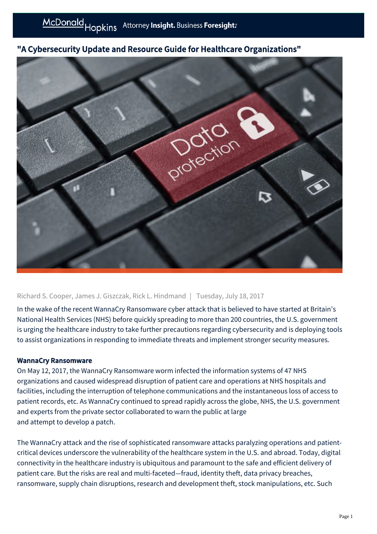## "A Cybersecurity Update and Resource Guide for Healthcare Organizations"



## Richard S. Cooper, James J. Giszczak, Rick L. Hindmand | Tuesday, July 18, 2017

In the wake of the recent WannaCry Ransomware cyber attack that is believed to have started at Britain's National Health Services (NHS) before quickly spreading to more than 200 countries, the U.S. government is urging the healthcare industry to take further precautions regarding cybersecurity and is deploying tools to assist organizations in responding to immediate threats and implement stronger security measures.

## WannaCry Ransomware

On May 12, 2017, the WannaCry Ransomware worm infected the information systems of 47 NHS organizations and caused widespread disruption of patient care and operations at NHS hospitals and facilities, including the interruption of telephone communications and the instantaneous loss of access to patient records, etc. As WannaCry continued to spread rapidly across the globe, NHS, the U.S. government and experts from the private sector collaborated to warn the public at large and attempt to develop a patch.

The WannaCry attack and the rise of sophisticated ransomware attacks paralyzing operations and patientcritical devices underscore the vulnerability of the healthcare system in the U.S. and abroad. Today, digital connectivity in the healthcare industry is ubiquitous and paramount to the safe and efficient delivery of patient care. But the risks are real and multi-faceted—fraud, identity theft, data privacy breaches, ransomware, supply chain disruptions, research and development theft, stock manipulations, etc. Such